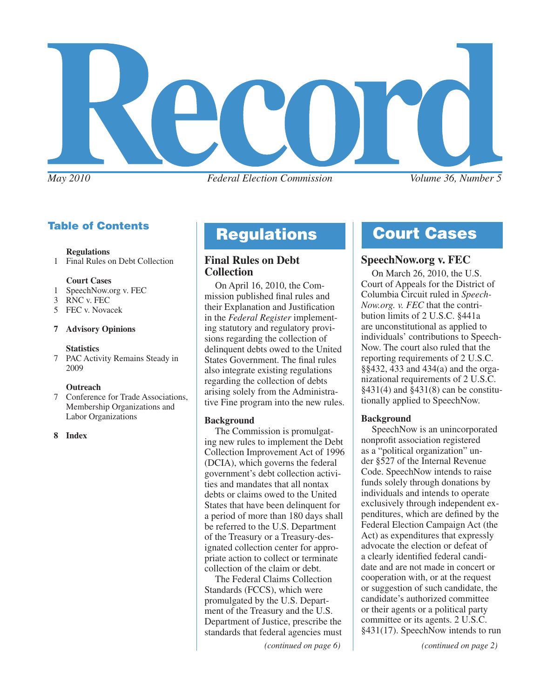

# Table of Contents

#### **Regulations**

1 Final Rules on Debt Collection

#### **Court Cases**

- 1 SpeechNow.org v. FEC
- 3 RNC v. FEC
- 5 FEC v. Novacek

#### **7 Advisory Opinions**

# **Statistics**<br>**7** PAC Activ

PAC Activity Remains Steady in 2009

#### **Outreach**

7 Conference for Trade Associations, Membership Organizations and Labor Organizations

#### **8 Index**

### **Final Rules on Debt Collection**

On April 16, 2010, the Commission published final rules and their Explanation and Justification in the *Federal Register* implementing statutory and regulatory provisions regarding the collection of delinquent debts owed to the United States Government. The final rules also integrate existing regulations regarding the collection of debts arising solely from the Administrative Fine program into the new rules.

#### **Background**

The Commission is promulgating new rules to implement the Debt Collection Improvement Act of 1996 (DCIA), which governs the federal government's debt collection activities and mandates that all nontax debts or claims owed to the United States that have been delinquent for a period of more than 180 days shall be referred to the U.S. Department of the Treasury or a Treasury-designated collection center for appropriate action to collect or terminate collection of the claim or debt.

The Federal Claims Collection Standards (FCCS), which were promulgated by the U.S. Department of the Treasury and the U.S. Department of Justice, prescribe the standards that federal agencies must

*(continued on page 6) (continued on page 2)*

# **Regulations Court Cases**

# **SpeechNow.org v. FEC**

On March 26, 2010, the U.S. Court of Appeals for the District of Columbia Circuit ruled in *Speech-Now.org. v. FEC* that the contribution limits of 2 U.S.C. §441a are unconstitutional as applied to individuals' contributions to Speech-Now. The court also ruled that the reporting requirements of 2 U.S.C. §§432, 433 and 434(a) and the organizational requirements of 2 U.S.C. §431(4) and §431(8) can be constitutionally applied to SpeechNow.

#### **Background**

SpeechNow is an unincorporated nonprofit association registered as a "political organization" under §527 of the Internal Revenue Code. SpeechNow intends to raise funds solely through donations by individuals and intends to operate exclusively through independent expenditures, which are defined by the Federal Election Campaign Act (the Act) as expenditures that expressly advocate the election or defeat of a clearly identified federal candidate and are not made in concert or cooperation with, or at the request or suggestion of such candidate, the candidate's authorized committee or their agents or a political party committee or its agents. 2 U.S.C. §431(17). SpeechNow intends to run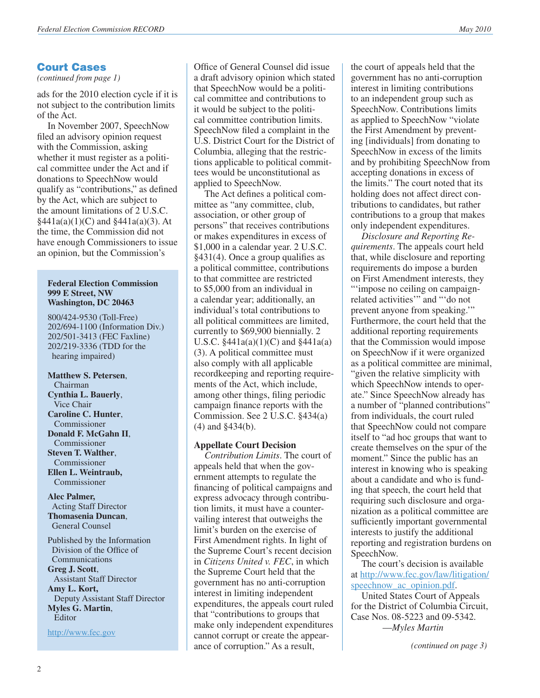*(continued from page 1)*

ads for the 2010 election cycle if it is not subject to the contribution limits of the Act.

In November 2007, SpeechNow filed an advisory opinion request with the Commission, asking whether it must register as a political committee under the Act and if donations to SpeechNow would qualify as "contributions," as defined by the Act, which are subject to the amount limitations of 2 U.S.C.  $§441a(a)(1)(C)$  and  $§441a(a)(3)$ . At the time, the Commission did not have enough Commissioners to issue an opinion, but the Commission's

#### **Federal Election Commission 999 E Street, NW Washington, DC 20463**

800/424-9530 (Toll-Free) 202/694-1100 (Information Div.) 202/501-3413 (FEC Faxline) 202/219-3336 (TDD for the hearing impaired)

**Matthew S. Petersen**, Chairman **Cynthia L. Bauerly**, Vice Chair **Caroline C. Hunter**, Commissioner **Donald F. McGahn II**, Commissioner **Steven T. Walther**, Commissioner **Ellen L. Weintraub,**  Commissioner

**Alec Palmer,** Acting Staff Director **Thomasenia Duncan**, General Counsel

Published by the Information Division of the Office of Communications **Greg J. Scott**, Assistant Staff Director **Amy L. Kort,** Deputy Assistant Staff Director **Myles G. Martin**, Editor

<http://www.fec.gov>

Office of General Counsel did issue a draft advisory opinion which stated that SpeechNow would be a political committee and contributions to it would be subject to the political committee contribution limits. SpeechNow filed a complaint in the U.S. District Court for the District of Columbia, alleging that the restrictions applicable to political committees would be unconstitutional as applied to SpeechNow.

The Act defines a political committee as "any committee, club, association, or other group of persons" that receives contributions or makes expenditures in excess of \$1,000 in a calendar year. 2 U.S.C. §431(4). Once a group qualifies as a political committee, contributions to that committee are restricted to \$5,000 from an individual in a calendar year; additionally, an individual's total contributions to all political committees are limited, currently to \$69,900 biennially. 2 U.S.C.  $\frac{$441a(a)(1)(C)}{2}$  and  $\frac{$441a(a)}{2}$ (3). A political committee must also comply with all applicable recordkeeping and reporting requirements of the Act, which include, among other things, filing periodic campaign finance reports with the Commission. See 2 U.S.C. §434(a) (4) and §434(b).

#### **Appellate Court Decision**

*Contribution Limits*. The court of appeals held that when the government attempts to regulate the financing of political campaigns and express advocacy through contribution limits, it must have a countervailing interest that outweighs the limit's burden on the exercise of First Amendment rights. In light of the Supreme Court's recent decision in *Citizens United v. FEC*, in which the Supreme Court held that the government has no anti-corruption interest in limiting independent expenditures, the appeals court ruled that "contributions to groups that make only independent expenditures cannot corrupt or create the appearance of corruption." As a result,

the court of appeals held that the government has no anti-corruption interest in limiting contributions to an independent group such as SpeechNow. Contributions limits as applied to SpeechNow "violate the First Amendment by preventing [individuals] from donating to SpeechNow in excess of the limits and by prohibiting SpeechNow from accepting donations in excess of the limits." The court noted that its holding does not affect direct contributions to candidates, but rather contributions to a group that makes only independent expenditures.

*Disclosure and Reporting Requirements*. The appeals court held that, while disclosure and reporting requirements do impose a burden on First Amendment interests, they "'impose no ceiling on campaignrelated activities'" and "'do not prevent anyone from speaking.'" Furthermore, the court held that the additional reporting requirements that the Commission would impose on SpeechNow if it were organized as a political committee are minimal, "given the relative simplicity with which SpeechNow intends to operate." Since SpeechNow already has a number of "planned contributions" from individuals, the court ruled that SpeechNow could not compare itself to "ad hoc groups that want to create themselves on the spur of the moment." Since the public has an interest in knowing who is speaking about a candidate and who is funding that speech, the court held that requiring such disclosure and organization as a political committee are sufficiently important governmental interests to justify the additional reporting and registration burdens on SpeechNow.

The court's decision is available at [http://www.fec.gov/law/litigation/](http://www.fec.gov/law/litigation/speechnow_ac_opinion.pdf) speechnow ac opinion.pdf.

United States Court of Appeals for the District of Columbia Circuit, Case Nos. 08-5223 and 09-5342. —*Myles Martin*

*(continued on page 3)*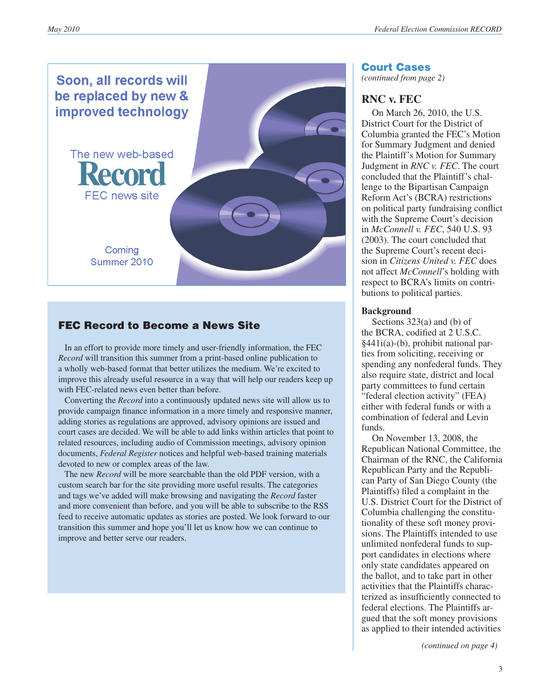

# FEC Record to Become a News Site

 In an effort to provide more timely and user-friendly information, the FEC *Record* will transition this summer from a print-based online publication to a wholly web-based format that better utilizes the medium. We're excited to improve this already useful resource in a way that will help our readers keep up with FEC-related news even better than before.

 Converting the *Record* into a continuously updated news site will allow us to provide campaign finance information in a more timely and responsive manner, adding stories as regulations are approved, advisory opinions are issued and court cases are decided. We will be able to add links within articles that point to related resources, including audio of Commission meetings, advisory opinion documents, *Federal Register* notices and helpful web-based training materials devoted to new or complex areas of the law.

 The new *Record* will be more searchable than the old PDF version, with a custom search bar for the site providing more useful results. The categories and tags we've added will make browsing and navigating the *Record* faster and more convenient than before, and you will be able to subscribe to the RSS feed to receive automatic updates as stories are posted. We look forward to our transition this summer and hope you'll let us know how we can continue to improve and better serve our readers.

#### Court Cases

*(continued from page 2)*

# **RNC v. FEC**

On March 26, 2010, the U.S. District Court for the District of Columbia granted the FEC's Motion for Summary Judgment and denied the Plaintiff's Motion for Summary Judgment in *RNC v. FEC*. The court concluded that the Plaintiff's challenge to the Bipartisan Campaign Reform Act's (BCRA) restrictions on political party fundraising conflict with the Supreme Court's decision in *McConnell v. FEC*, 540 U.S. 93 (2003). The court concluded that the Supreme Court's recent decision in *Citizens United v. FEC* does not affect *McConnell*'s holding with respect to BCRA's limits on contributions to political parties.

#### **Background**

Sections 323(a) and (b) of the BCRA, codified at 2 U.S.C. §441i(a)-(b), prohibit national parties from soliciting, receiving or spending any nonfederal funds. They also require state, district and local party committees to fund certain "federal election activity" (FEA) either with federal funds or with a combination of federal and Levin funds.

On November 13, 2008, the Republican National Committee, the Chairman of the RNC, the California Republican Party and the Republican Party of San Diego County (the Plaintiffs) filed a complaint in the U.S. District Court for the District of Columbia challenging the constitutionality of these soft money provisions. The Plaintiffs intended to use unlimited nonfederal funds to support candidates in elections where only state candidates appeared on the ballot, and to take part in other activities that the Plaintiffs characterized as insufficiently connected to federal elections. The Plaintiffs argued that the soft money provisions as applied to their intended activities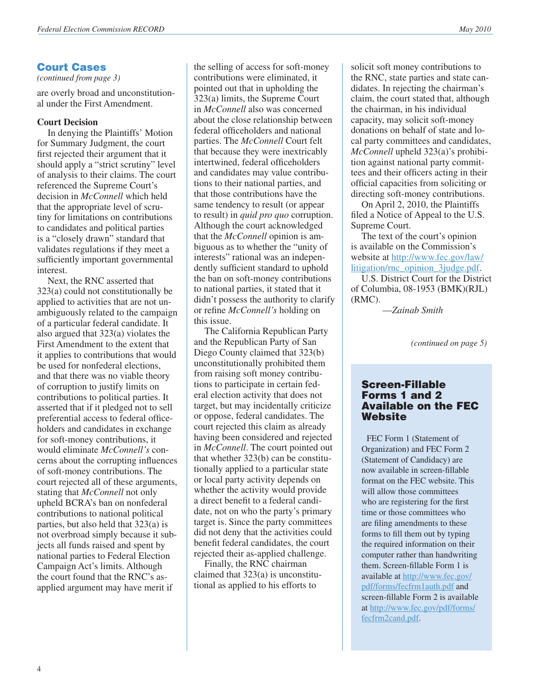*(continued from page 3)*

are overly broad and unconstitutional under the First Amendment.

#### **Court Decision**

In denying the Plaintiffs' Motion for Summary Judgment, the court first rejected their argument that it should apply a "strict scrutiny" level of analysis to their claims. The court referenced the Supreme Court's decision in *McConnell* which held that the appropriate level of scrutiny for limitations on contributions to candidates and political parties is a "closely drawn" standard that validates regulations if they meet a sufficiently important governmental interest.

Next, the RNC asserted that 323(a) could not constitutionally be applied to activities that are not unambiguously related to the campaign of a particular federal candidate. It also argued that 323(a) violates the First Amendment to the extent that it applies to contributions that would be used for nonfederal elections, and that there was no viable theory of corruption to justify limits on contributions to political parties. It asserted that if it pledged not to sell preferential access to federal officeholders and candidates in exchange for soft-money contributions, it would eliminate *McConnell's* concerns about the corrupting influences of soft-money contributions. The court rejected all of these arguments, stating that *McConnell* not only upheld BCRA's ban on nonfederal contributions to national political parties, but also held that 323(a) is not overbroad simply because it subjects all funds raised and spent by national parties to Federal Election Campaign Act's limits. Although the court found that the RNC's asapplied argument may have merit if

the selling of access for soft-money contributions were eliminated, it pointed out that in upholding the 323(a) limits, the Supreme Court in *McConnell* also was concerned about the close relationship between federal officeholders and national parties. The *McConnell* Court felt that because they were inextricably intertwined, federal officeholders and candidates may value contributions to their national parties, and that those contributions have the same tendency to result (or appear to result) in *quid pro quo* corruption. Although the court acknowledged that the *McConnell* opinion is ambiguous as to whether the "unity of interests" rational was an independently sufficient standard to uphold the ban on soft-money contributions to national parties, it stated that it didn't possess the authority to clarify or refine *McConnell's* holding on this issue.

The California Republican Party and the Republican Party of San Diego County claimed that 323(b) unconstitutionally prohibited them from raising soft money contributions to participate in certain federal election activity that does not target, but may incidentally criticize or oppose, federal candidates. The court rejected this claim as already having been considered and rejected in *McConnell*. The court pointed out that whether 323(b) can be constitutionally applied to a particular state or local party activity depends on whether the activity would provide a direct benefit to a federal candidate, not on who the party's primary target is. Since the party committees did not deny that the activities could benefit federal candidates, the court rejected their as-applied challenge.

Finally, the RNC chairman claimed that 323(a) is unconstitutional as applied to his efforts to

solicit soft money contributions to the RNC, state parties and state candidates. In rejecting the chairman's claim, the court stated that, although the chairman, in his individual capacity, may solicit soft-money donations on behalf of state and local party committees and candidates, *McConnell* upheld 323(a)'s prohibition against national party committees and their officers acting in their official capacities from soliciting or directing soft-money contributions.

On April 2, 2010, the Plaintiffs filed a Notice of Appeal to the U.S. Supreme Court.

The text of the court's opinion is available on the Commission's website at [http://www.fec.gov/law/](http://www.fec.gov/law/litigation/rnc_opinion_3judge.pdf) [litigation/rnc\\_opinion\\_3judge.pdf.](http://www.fec.gov/law/litigation/rnc_opinion_3judge.pdf)

U.S. District Court for the District of Columbia, 08-1953 (BMK)(RJL) (RMC).

—*Zainab Smith*

*(continued on page 5)*

### Screen-Fillable Forms 1 and 2 Available on the FEC Website

(Statement of Candidacy) are FEC Form 1 (Statement of Organization) and FEC Form 2 now available in screen-fillable format on the FEC website. This will allow those committees who are registering for the first time or those committees who are filing amendments to these forms to fill them out by typing the required information on their computer rather than handwriting them. Screen-fillable Form 1 is available at [http://www.fec.gov/](http://www.fec.gov/pdf/forms/fecfrm1auth.pdf) [pdf/forms/fecfrm1auth.pdf](http://www.fec.gov/pdf/forms/fecfrm1auth.pdf) and screen-fillable Form 2 is available at [http://www.fec.gov/pdf/forms/](http://www.fec.gov/pdf/forms/fecfrm2cand.pdf) [fecfrm2cand.pdf](http://www.fec.gov/pdf/forms/fecfrm2cand.pdf).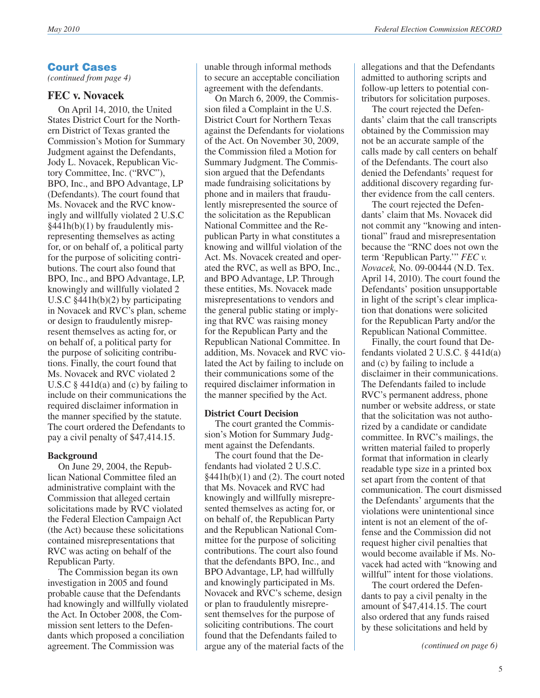*(continued from page 4)*

# **FEC v. Novacek**

On April 14, 2010, the United States District Court for the Northern District of Texas granted the Commission's Motion for Summary Judgment against the Defendants, Jody L. Novacek, Republican Victory Committee, Inc. ("RVC"), BPO, Inc., and BPO Advantage, LP (Defendants). The court found that Ms. Novacek and the RVC knowingly and willfully violated 2 U.S.C §441h(b)(1) by fraudulently misrepresenting themselves as acting for, or on behalf of, a political party for the purpose of soliciting contributions. The court also found that BPO, Inc., and BPO Advantage, LP, knowingly and willfully violated 2 U.S.C §441h(b)(2) by participating in Novacek and RVC's plan, scheme or design to fraudulently misrepresent themselves as acting for, or on behalf of, a political party for the purpose of soliciting contributions. Finally, the court found that Ms. Novacek and RVC violated 2 U.S.C  $\S$  441d(a) and (c) by failing to include on their communications the required disclaimer information in the manner specified by the statute. The court ordered the Defendants to pay a civil penalty of \$47,414.15.

# **Background**

On June 29, 2004, the Republican National Committee filed an administrative complaint with the Commission that alleged certain solicitations made by RVC violated the Federal Election Campaign Act (the Act) because these solicitations contained misrepresentations that RVC was acting on behalf of the Republican Party.

The Commission began its own investigation in 2005 and found probable cause that the Defendants had knowingly and willfully violated the Act. In October 2008, the Commission sent letters to the Defendants which proposed a conciliation agreement. The Commission was

unable through informal methods to secure an acceptable conciliation agreement with the defendants.

On March 6, 2009, the Commission filed a Complaint in the U.S. District Court for Northern Texas against the Defendants for violations of the Act. On November 30, 2009, the Commission filed a Motion for Summary Judgment. The Commission argued that the Defendants made fundraising solicitations by phone and in mailers that fraudulently misrepresented the source of the solicitation as the Republican National Committee and the Republican Party in what constitutes a knowing and willful violation of the Act. Ms. Novacek created and operated the RVC, as well as BPO, Inc., and BPO Advantage, LP. Through these entities, Ms. Novacek made misrepresentations to vendors and the general public stating or implying that RVC was raising money for the Republican Party and the Republican National Committee. In addition, Ms. Novacek and RVC violated the Act by failing to include on their communications some of the required disclaimer information in the manner specified by the Act.

### **District Court Decision**

The court granted the Commission's Motion for Summary Judgment against the Defendants.

The court found that the Defendants had violated 2 U.S.C.  $\{441h(b)(1)$  and (2). The court noted that Ms. Novacek and RVC had knowingly and willfully misrepresented themselves as acting for, or on behalf of, the Republican Party and the Republican National Committee for the purpose of soliciting contributions. The court also found that the defendants BPO, Inc., and BPO Advantage, LP, had willfully and knowingly participated in Ms. Novacek and RVC's scheme, design or plan to fraudulently misrepresent themselves for the purpose of soliciting contributions. The court found that the Defendants failed to argue any of the material facts of the

allegations and that the Defendants admitted to authoring scripts and follow-up letters to potential contributors for solicitation purposes.

The court rejected the Defendants' claim that the call transcripts obtained by the Commission may not be an accurate sample of the calls made by call centers on behalf of the Defendants. The court also denied the Defendants' request for additional discovery regarding further evidence from the call centers.

The court rejected the Defendants' claim that Ms. Novacek did not commit any "knowing and intentional" fraud and misrepresentation because the "RNC does not own the term 'Republican Party.'" *FEC v. Novacek,* No. 09-00444 (N.D. Tex. April 14, 2010). The court found the Defendants' position unsupportable in light of the script's clear implication that donations were solicited for the Republican Party and/or the Republican National Committee.

Finally, the court found that Defendants violated 2 U.S.C. § 441d(a) and (c) by failing to include a disclaimer in their communications. The Defendants failed to include RVC's permanent address, phone number or website address, or state that the solicitation was not authorized by a candidate or candidate committee. In RVC's mailings, the written material failed to properly format that information in clearly readable type size in a printed box set apart from the content of that communication. The court dismissed the Defendants' arguments that the violations were unintentional since intent is not an element of the offense and the Commission did not request higher civil penalties that would become available if Ms. Novacek had acted with "knowing and willful" intent for those violations.

The court ordered the Defendants to pay a civil penalty in the amount of \$47,414.15. The court also ordered that any funds raised by these solicitations and held by

*(continued on page 6)*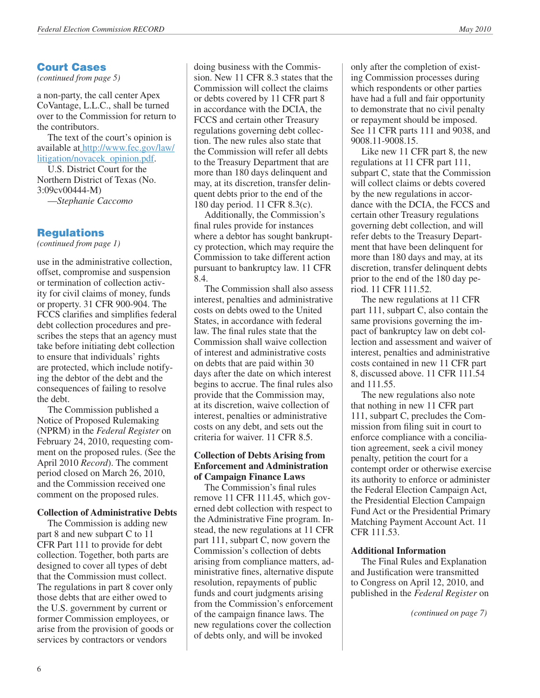*(continued from page 5)*

a non-party, the call center Apex CoVantage, L.L.C., shall be turned over to the Commission for return to the contributors.

The text of the court's opinion is available at [http://www.fec.gov/law/](http://www.fec.gov/law/litigation/novacek_opinion.pdf) [litigation/novacek\\_opinion.pdf.](http://www.fec.gov/law/litigation/novacek_opinion.pdf)

U.S. District Court for the Northern District of Texas (No. 3:09cv00444-M)

—*Stephanie Caccomo*

### **Regulations**

*(continued from page 1)*

use in the administrative collection, offset, compromise and suspension or termination of collection activity for civil claims of money, funds or property. 31 CFR 900-904. The FCCS clarifies and simplifies federal debt collection procedures and prescribes the steps that an agency must take before initiating debt collection to ensure that individuals' rights are protected, which include notifying the debtor of the debt and the consequences of failing to resolve the debt.

The Commission published a Notice of Proposed Rulemaking (NPRM) in the *Federal Register* on February 24, 2010, requesting comment on the proposed rules. (See the April 2010 *Record*). The comment period closed on March 26, 2010, and the Commission received one comment on the proposed rules.

#### **Collection of Administrative Debts**

The Commission is adding new part 8 and new subpart C to 11 CFR Part 111 to provide for debt collection. Together, both parts are designed to cover all types of debt that the Commission must collect. The regulations in part 8 cover only those debts that are either owed to the U.S. government by current or former Commission employees, or arise from the provision of goods or services by contractors or vendors

doing business with the Commission. New 11 CFR 8.3 states that the Commission will collect the claims or debts covered by 11 CFR part 8 in accordance with the DCIA, the FCCS and certain other Treasury regulations governing debt collection. The new rules also state that the Commission will refer all debts to the Treasury Department that are more than 180 days delinquent and may, at its discretion, transfer delinquent debts prior to the end of the 180 day period. 11 CFR 8.3(c).

Additionally, the Commission's final rules provide for instances where a debtor has sought bankruptcy protection, which may require the Commission to take different action pursuant to bankruptcy law. 11 CFR 8.4.

The Commission shall also assess interest, penalties and administrative costs on debts owed to the United States, in accordance with federal law. The final rules state that the Commission shall waive collection of interest and administrative costs on debts that are paid within 30 days after the date on which interest begins to accrue. The final rules also provide that the Commission may, at its discretion, waive collection of interest, penalties or administrative costs on any debt, and sets out the criteria for waiver. 11 CFR 8.5.

#### **Collection of Debts Arising from Enforcement and Administration of Campaign Finance Laws**

The Commission's final rules remove 11 CFR 111.45, which governed debt collection with respect to the Administrative Fine program. Instead, the new regulations at 11 CFR part 111, subpart C, now govern the Commission's collection of debts arising from compliance matters, administrative fines, alternative dispute resolution, repayments of public funds and court judgments arising from the Commission's enforcement of the campaign finance laws. The new regulations cover the collection of debts only, and will be invoked

only after the completion of existing Commission processes during which respondents or other parties have had a full and fair opportunity to demonstrate that no civil penalty or repayment should be imposed. See 11 CFR parts 111 and 9038, and 9008.11-9008.15.

Like new 11 CFR part 8, the new regulations at 11 CFR part 111, subpart C, state that the Commission will collect claims or debts covered by the new regulations in accordance with the DCIA, the FCCS and certain other Treasury regulations governing debt collection, and will refer debts to the Treasury Department that have been delinquent for more than 180 days and may, at its discretion, transfer delinquent debts prior to the end of the 180 day period. 11 CFR 111.52.

The new regulations at 11 CFR part 111, subpart C, also contain the same provisions governing the impact of bankruptcy law on debt collection and assessment and waiver of interest, penalties and administrative costs contained in new 11 CFR part 8, discussed above. 11 CFR 111.54 and 111.55.

The new regulations also note that nothing in new 11 CFR part 111, subpart C, precludes the Commission from filing suit in court to enforce compliance with a conciliation agreement, seek a civil money penalty, petition the court for a contempt order or otherwise exercise its authority to enforce or administer the Federal Election Campaign Act, the Presidential Election Campaign Fund Act or the Presidential Primary Matching Payment Account Act. 11 CFR 111.53.

#### **Additional Information**

The Final Rules and Explanation and Justification were transmitted to Congress on April 12, 2010, and published in the *Federal Register* on

*(continued on page 7)*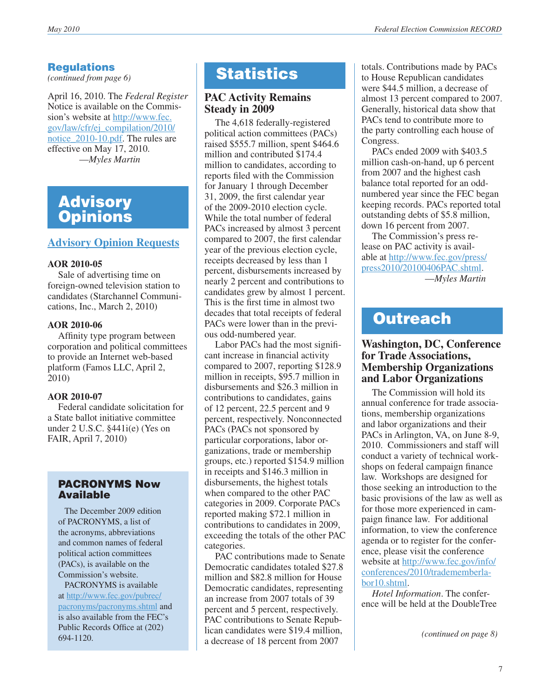# **Requlations**

*(continued from page 6)*

April 16, 2010. The *Federal Register* Notice is available on the Commission's website at [http://www.fec.](http://www.fec.gov/law/cfr/ej_compilation/2010/notice_2010-10.pdf) [gov/law/cfr/ej\\_compilation/2010/](http://www.fec.gov/law/cfr/ej_compilation/2010/notice_2010-10.pdf) notice 2010-10.pdf. The rules are effective on May 17, 2010. —*Myles Martin*

# **Advisory Opinions**

# **[Advisory Opinion Requests](http://saos.fec.gov/saos/searchao)**

### **AOR 2010-05**

Sale of advertising time on foreign-owned television station to candidates (Starchannel Communications, Inc., March 2, 2010)

### **AOR 2010-06**

Affinity type program between corporation and political committees to provide an Internet web-based platform (Famos LLC, April 2, 2010)

#### **AOR 2010-07**

Federal candidate solicitation for a State ballot initiative committee under 2 U.S.C. §441i(e) (Yes on FAIR, April 7, 2010)

### PACRONYMS Now Available

 The December 2009 edition of PACRONYMS, a list of the acronyms, abbreviations and common names of federal political action committees (PACs), is available on the Commission's website.

 PACRONYMS is available at [http://www.fec.gov/pubrec/](http://www.fec.gov/pubrec/pacronyms/pacronyms.shtml) [pacronyms/pacronyms.shtml](http://www.fec.gov/pubrec/pacronyms/pacronyms.shtml) and is also available from the FEC's Public Records Office at (202) 694-1120.

# **Statistics**

# **PAC Activity Remains Steady in 2009**

The 4,618 federally-registered political action committees (PACs) raised \$555.7 million, spent \$464.6 million and contributed \$174.4 million to candidates, according to reports filed with the Commission for January 1 through December 31, 2009, the first calendar year of the 2009-2010 election cycle. While the total number of federal PACs increased by almost 3 percent compared to 2007, the first calendar year of the previous election cycle, receipts decreased by less than 1 percent, disbursements increased by nearly 2 percent and contributions to candidates grew by almost 1 percent. This is the first time in almost two decades that total receipts of federal PACs were lower than in the previous odd-numbered year.

Labor PACs had the most significant increase in financial activity compared to 2007, reporting \$128.9 million in receipts, \$95.7 million in disbursements and \$26.3 million in contributions to candidates, gains of 12 percent, 22.5 percent and 9 percent, respectively. Nonconnected PACs (PACs not sponsored by particular corporations, labor organizations, trade or membership groups, etc.) reported \$154.9 million in receipts and \$146.3 million in disbursements, the highest totals when compared to the other PAC categories in 2009. Corporate PACs reported making \$72.1 million in contributions to candidates in 2009, exceeding the totals of the other PAC categories.

PAC contributions made to Senate Democratic candidates totaled \$27.8 million and \$82.8 million for House Democratic candidates, representing an increase from 2007 totals of 39 percent and 5 percent, respectively. PAC contributions to Senate Republican candidates were \$19.4 million, a decrease of 18 percent from 2007

totals. Contributions made by PACs to House Republican candidates were \$44.5 million, a decrease of almost 13 percent compared to 2007. Generally, historical data show that PACs tend to contribute more to the party controlling each house of Congress.

PACs ended 2009 with \$403.5 million cash-on-hand, up 6 percent from 2007 and the highest cash balance total reported for an oddnumbered year since the FEC began keeping records. PACs reported total outstanding debts of \$5.8 million, down 16 percent from 2007.

The Commission's press release on PAC activity is available at [http://www.fec.gov/press/](http://www.fec.gov/press/press2010/20100406PAC.shtml) [press2010/20100406PAC.shtml](http://www.fec.gov/press/press2010/20100406PAC.shtml). —*Myles Martin*

# **Outreach**

### **Washington, DC, Conference for Trade Associations, Membership Organizations and Labor Organizations**

The Commission will hold its annual conference for trade associations, membership organizations and labor organizations and their PACs in Arlington, VA, on June 8-9, 2010. Commissioners and staff will conduct a variety of technical workshops on federal campaign finance law. Workshops are designed for those seeking an introduction to the basic provisions of the law as well as for those more experienced in campaign finance law. For additional information, to view the conference agenda or to register for the conference, please visit the conference website at [http://www.fec.gov/info/](http://www.fec.gov/info/conferences/2010/tradememberlabor10.shtml) [conferences/2010/tradememberla](http://www.fec.gov/info/conferences/2010/tradememberlabor10.shtml)[bor10.shtml.](http://www.fec.gov/info/conferences/2010/tradememberlabor10.shtml)

*Hotel Information*. The conference will be held at the DoubleTree

*<sup>(</sup>continued on page 8)*